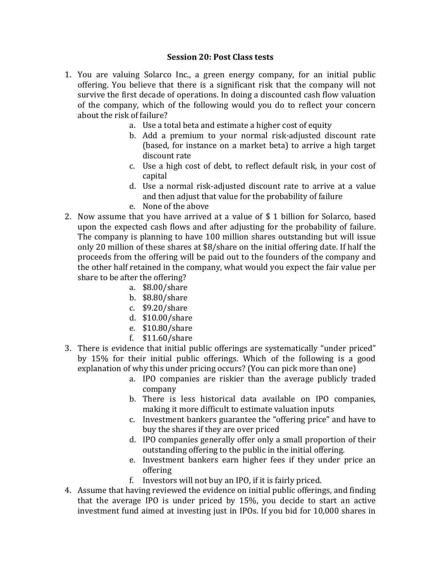## **Session 20: Post Class tests**

- 1. You are valuing Solarco Inc., a green energy company, for an initial public offering. You believe that there is a significant risk that the company will not survive the first decade of operations. In doing a discounted cash flow valuation of the company, which of the following would you do to reflect your concern about the risk of failure?
	- a. Use a total beta and estimate a higher cost of equity
	- b. Add a premium to your normal risk-adjusted discount rate (based, for instance on a market beta) to arrive a high target discount rate
	- c. Use a high cost of debt, to reflect default risk, in your cost of capital
	- d. Use a normal risk-adjusted discount rate to arrive at a value and then adjust that value for the probability of failure
	- e. None of the above
- 2. Now assume that you have arrived at a value of  $$1$  billion for Solarco, based upon the expected cash flows and after adjusting for the probability of failure. The company is planning to have 100 million shares outstanding but will issue only 20 million of these shares at  $$8/$ share on the initial offering date. If half the proceeds from the offering will be paid out to the founders of the company and the other half retained in the company, what would you expect the fair value per share to be after the offering?
	- a. \$8.00/share
	- b. \$8.80/share
	- c. \$9.20/share
	- d. \$10.00/share
	- e. \$10.80/share
	- f. \$11.60/share
- 3. There is evidence that initial public offerings are systematically "under priced" by 15% for their initial public offerings. Which of the following is a good explanation of why this under pricing occurs? (You can pick more than one)
	- a. IPO companies are riskier than the average publicly traded company
	- b. There is less historical data available on IPO companies, making it more difficult to estimate valuation inputs
	- c. Investment bankers guarantee the "offering price" and have to buy the shares if they are over priced
	- d. IPO companies generally offer only a small proportion of their outstanding offering to the public in the initial offering.
	- e. Investment bankers earn higher fees if they under price an offering
	- f. Investors will not buy an IPO, if it is fairly priced.
- 4. Assume that having reviewed the evidence on initial public offerings, and finding that the average IPO is under priced by  $15\%$ , you decide to start an active investment fund aimed at investing just in IPOs. If you bid for 10,000 shares in